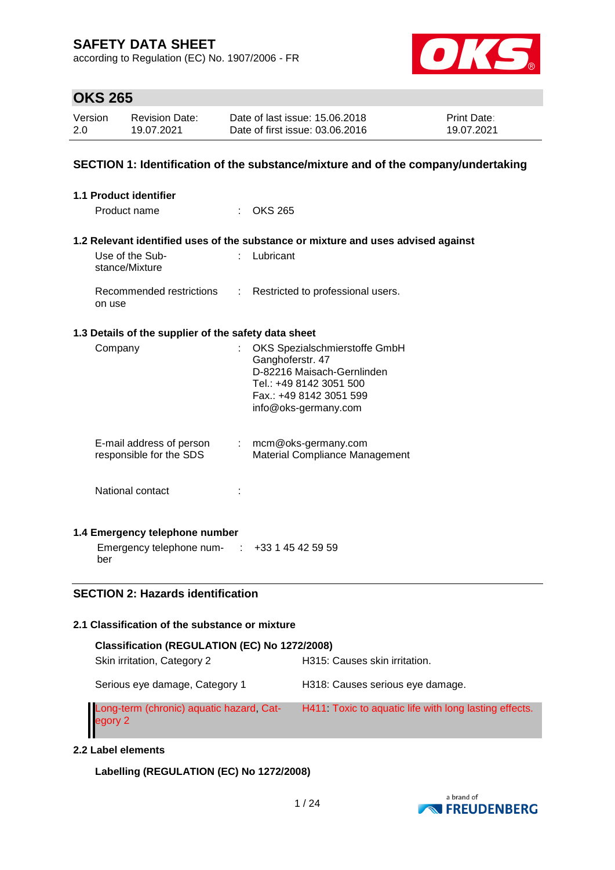according to Regulation (EC) No. 1907/2006 - FR



## **OKS 265**

| Version | <b>Revision Date:</b> | Date of last issue: 15,06,2018  | <b>Print Date:</b> |
|---------|-----------------------|---------------------------------|--------------------|
| 2.0     | 19.07.2021            | Date of first issue: 03.06.2016 | 19.07.2021         |

## **SECTION 1: Identification of the substance/mixture and of the company/undertaking**

| 1.1 Product identifier                                                                |    |                                                                                                                                                               |  |  |  |  |  |  |
|---------------------------------------------------------------------------------------|----|---------------------------------------------------------------------------------------------------------------------------------------------------------------|--|--|--|--|--|--|
| Product name                                                                          |    | $:$ OKS 265                                                                                                                                                   |  |  |  |  |  |  |
| 1.2 Relevant identified uses of the substance or mixture and uses advised against     |    |                                                                                                                                                               |  |  |  |  |  |  |
| Use of the Sub-<br>stance/Mixture                                                     | ÷  | Lubricant                                                                                                                                                     |  |  |  |  |  |  |
| Recommended restrictions<br>on use                                                    | ÷. | Restricted to professional users.                                                                                                                             |  |  |  |  |  |  |
| 1.3 Details of the supplier of the safety data sheet                                  |    |                                                                                                                                                               |  |  |  |  |  |  |
| Company                                                                               |    | OKS Spezialschmierstoffe GmbH<br>Ganghoferstr. 47<br>D-82216 Maisach-Gernlinden<br>Tel.: +49 8142 3051 500<br>Fax.: +49 8142 3051 599<br>info@oks-germany.com |  |  |  |  |  |  |
| E-mail address of person<br>responsible for the SDS                                   |    | $:$ mcm@oks-germany.com<br>Material Compliance Management                                                                                                     |  |  |  |  |  |  |
| National contact                                                                      |    |                                                                                                                                                               |  |  |  |  |  |  |
| 1.4 Emergency telephone number<br>Emergency telephone num- : +33 1 45 42 59 59<br>ber |    |                                                                                                                                                               |  |  |  |  |  |  |

## **SECTION 2: Hazards identification**

## **2.1 Classification of the substance or mixture**

| Classification (REGULATION (EC) No 1272/2008)       |                                                       |  |  |  |  |  |  |  |
|-----------------------------------------------------|-------------------------------------------------------|--|--|--|--|--|--|--|
| Skin irritation, Category 2                         | H315: Causes skin irritation.                         |  |  |  |  |  |  |  |
| Serious eye damage, Category 1                      | H318: Causes serious eye damage.                      |  |  |  |  |  |  |  |
| Long-term (chronic) aquatic hazard, Cat-<br>egory 2 | H411 Toxic to aquatic life with long lasting effects. |  |  |  |  |  |  |  |

#### **2.2 Label elements**

**Labelling (REGULATION (EC) No 1272/2008)**

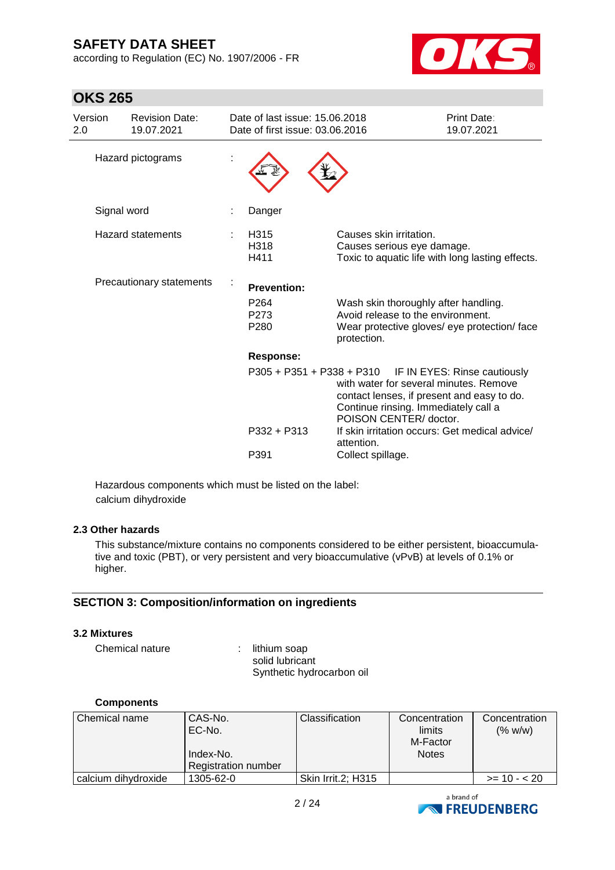**OKS 265**

according to Regulation (EC) No. 1907/2006 - FR



| Version<br>2.0 | <b>Revision Date:</b><br>19.07.2021 | Date of last issue: 15.06.2018<br>Date of first issue: 03.06.2016 |                                                                                                                                                                                                                  | Print Date:<br>19.07.2021 |
|----------------|-------------------------------------|-------------------------------------------------------------------|------------------------------------------------------------------------------------------------------------------------------------------------------------------------------------------------------------------|---------------------------|
|                | Hazard pictograms                   |                                                                   |                                                                                                                                                                                                                  |                           |
|                | Signal word                         | Danger                                                            |                                                                                                                                                                                                                  |                           |
|                | Hazard statements                   | H315<br>H318<br>H411                                              | Causes skin irritation.<br>Causes serious eye damage.<br>Toxic to aquatic life with long lasting effects.                                                                                                        |                           |
|                | Precautionary statements            | <b>Prevention:</b>                                                |                                                                                                                                                                                                                  |                           |
|                |                                     | P <sub>264</sub><br>P273<br>P <sub>280</sub>                      | Wash skin thoroughly after handling.<br>Avoid release to the environment.<br>Wear protective gloves/ eye protection/ face<br>protection.                                                                         |                           |
|                |                                     | <b>Response:</b>                                                  |                                                                                                                                                                                                                  |                           |
|                |                                     |                                                                   | P305 + P351 + P338 + P310 IF IN EYES: Rinse cautiously<br>with water for several minutes. Remove<br>contact lenses, if present and easy to do.<br>Continue rinsing. Immediately call a<br>POISON CENTER/ doctor. |                           |
|                |                                     | P332 + P313                                                       | If skin irritation occurs: Get medical advice/<br>attention.                                                                                                                                                     |                           |
|                |                                     | P391                                                              | Collect spillage.                                                                                                                                                                                                |                           |

Hazardous components which must be listed on the label: calcium dihydroxide

#### **2.3 Other hazards**

This substance/mixture contains no components considered to be either persistent, bioaccumulative and toxic (PBT), or very persistent and very bioaccumulative (vPvB) at levels of 0.1% or higher.

## **SECTION 3: Composition/information on ingredients**

#### **3.2 Mixtures**

Chemical nature : lithium soap

solid lubricant Synthetic hydrocarbon oil

#### **Components**

| Chemical name       | CAS-No.<br>EC-No.<br>Index-No.<br><b>Registration number</b> | <b>Classification</b> | Concentration<br>limits<br>M-Factor<br><b>Notes</b> | Concentration<br>(% w/w) |
|---------------------|--------------------------------------------------------------|-----------------------|-----------------------------------------------------|--------------------------|
| calcium dihydroxide | 1305-62-0                                                    | Skin Irrit.2; H315    |                                                     | $>= 10 - 20$             |

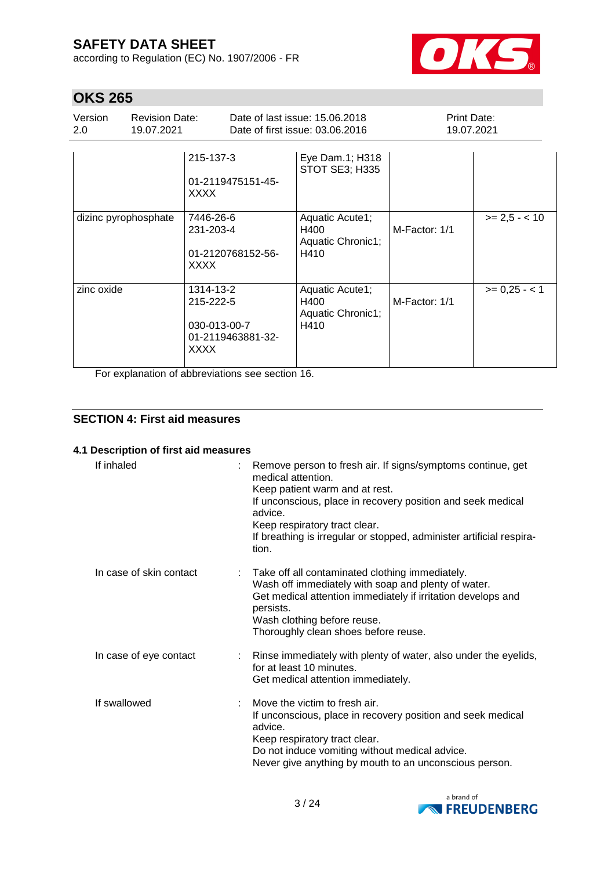according to Regulation (EC) No. 1907/2006 - FR



# **OKS 265**

| Version<br>$2.0^{\circ}$ | <b>Revision Date:</b><br>19.07.2021 |                                                                            | Date of last issue: 15,06,2018<br>Date of first issue: 03.06.2016 | Print Date:<br>19.07.2021 |                 |  |
|--------------------------|-------------------------------------|----------------------------------------------------------------------------|-------------------------------------------------------------------|---------------------------|-----------------|--|
|                          |                                     | 215-137-3<br>01-2119475151-45-<br>XXXX                                     | Eye Dam.1; H318<br><b>STOT SE3; H335</b>                          |                           |                 |  |
| dizinc pyrophosphate     |                                     | 7446-26-6<br>231-203-4<br>01-2120768152-56-<br>XXXX                        | Aquatic Acute1;<br>H400<br>Aquatic Chronic1;<br>H410              | M-Factor: 1/1             | $>= 2.5 - < 10$ |  |
| zinc oxide               |                                     | 1314-13-2<br>215-222-5<br>030-013-00-7<br>01-2119463881-32-<br><b>XXXX</b> | Aquatic Acute1;<br>H400<br>Aquatic Chronic1;<br>H410              | M-Factor: 1/1             | $>= 0.25 - 1$   |  |

For explanation of abbreviations see section 16.

## **SECTION 4: First aid measures**

#### **4.1 Description of first aid measures**

| If inhaled              | Remove person to fresh air. If signs/symptoms continue, get<br>medical attention.<br>Keep patient warm and at rest.<br>If unconscious, place in recovery position and seek medical<br>advice.<br>Keep respiratory tract clear.<br>If breathing is irregular or stopped, administer artificial respira-<br>tion. |
|-------------------------|-----------------------------------------------------------------------------------------------------------------------------------------------------------------------------------------------------------------------------------------------------------------------------------------------------------------|
| In case of skin contact | Take off all contaminated clothing immediately.<br>Wash off immediately with soap and plenty of water.<br>Get medical attention immediately if irritation develops and<br>persists.<br>Wash clothing before reuse.<br>Thoroughly clean shoes before reuse.                                                      |
| In case of eye contact  | : Rinse immediately with plenty of water, also under the eyelids,<br>for at least 10 minutes.<br>Get medical attention immediately.                                                                                                                                                                             |
| If swallowed            | Move the victim to fresh air.<br>If unconscious, place in recovery position and seek medical<br>advice.<br>Keep respiratory tract clear.<br>Do not induce vomiting without medical advice.<br>Never give anything by mouth to an unconscious person.                                                            |

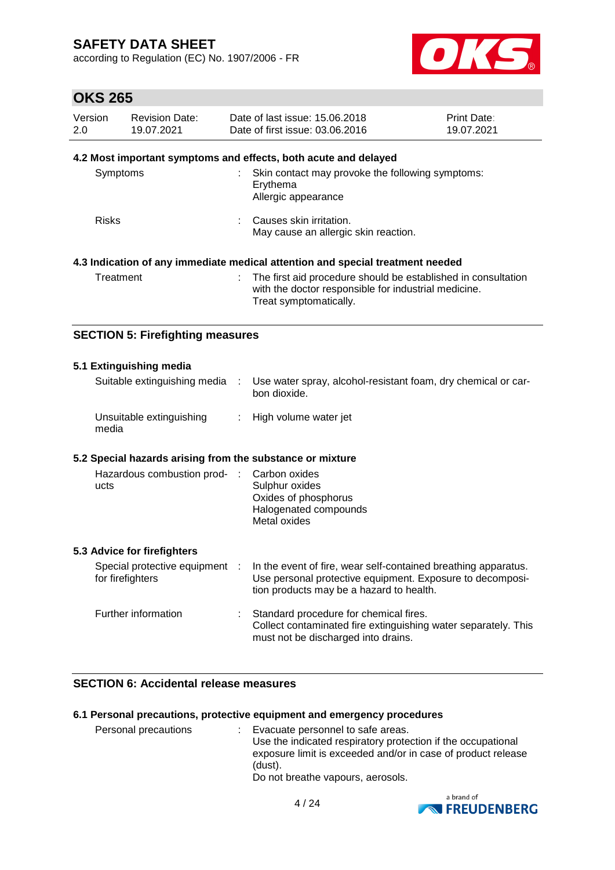according to Regulation (EC) No. 1907/2006 - FR



## **OKS 265**

| Version<br>2.0 | <b>Revision Date:</b><br>19.07.2021 | Date of last issue: 15.06.2018<br>Date of first issue: 03.06.2016                                                                                 | Print Date:<br>19.07.2021 |
|----------------|-------------------------------------|---------------------------------------------------------------------------------------------------------------------------------------------------|---------------------------|
|                |                                     | 4.2 Most important symptoms and effects, both acute and delayed                                                                                   |                           |
| Symptoms       |                                     | : Skin contact may provoke the following symptoms:<br>Erythema<br>Allergic appearance                                                             |                           |
| <b>Risks</b>   |                                     | : Causes skin irritation.<br>May cause an allergic skin reaction.                                                                                 |                           |
|                |                                     | 4.3 Indication of any immediate medical attention and special treatment needed                                                                    |                           |
| Treatment      |                                     | : The first aid procedure should be established in consultation<br>with the doctor responsible for industrial medicine.<br>Treat symptomatically. |                           |

## **SECTION 5: Firefighting measures**

#### **5.1 Extinguishing media** Suitable extinguishing media : Use water spray, alcohol-resistant foam, dry chemical or carbon dioxide. Unsuitable extinguishing media : High volume water jet **5.2 Special hazards arising from the substance or mixture** Hazardous combustion prod- : ucts Carbon oxides Sulphur oxides Oxides of phosphorus Halogenated compounds Metal oxides **5.3 Advice for firefighters** Special protective equipment : for firefighters In the event of fire, wear self-contained breathing apparatus. Use personal protective equipment. Exposure to decomposition products may be a hazard to health. Further information : Standard procedure for chemical fires. Collect contaminated fire extinguishing water separately. This must not be discharged into drains.

## **SECTION 6: Accidental release measures**

#### **6.1 Personal precautions, protective equipment and emergency procedures**

Personal precautions : Evacuate personnel to safe areas. Use the indicated respiratory protection if the occupational exposure limit is exceeded and/or in case of product release (dust). Do not breathe vapours, aerosols.

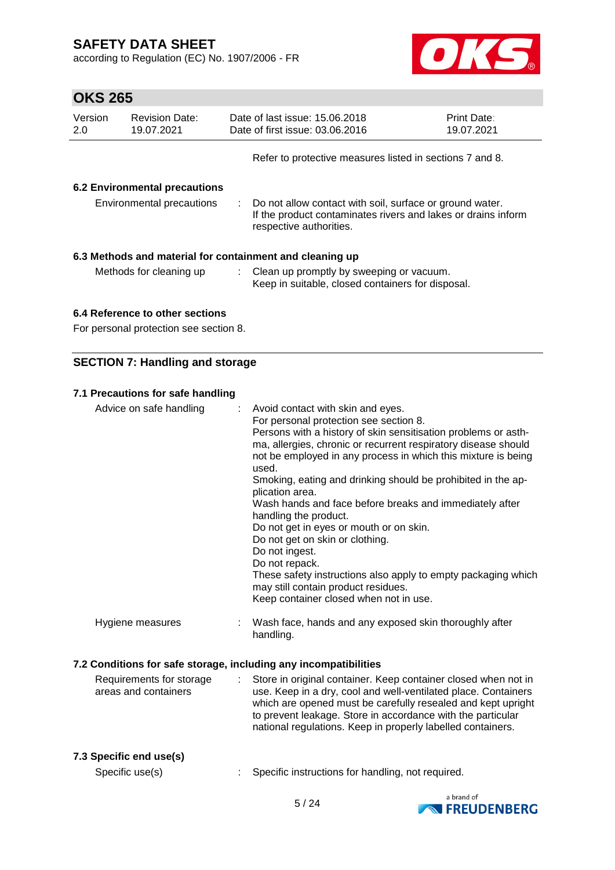according to Regulation (EC) No. 1907/2006 - FR



# **OKS 265**

| Version<br>2.0                                                                                                                                                                         | <b>Revision Date:</b><br>19.07.2021 |  | Date of last issue: 15.06.2018<br>Date of first issue: 03.06.2016                                                                                      | <b>Print Date:</b><br>19.07.2021 |  |  |
|----------------------------------------------------------------------------------------------------------------------------------------------------------------------------------------|-------------------------------------|--|--------------------------------------------------------------------------------------------------------------------------------------------------------|----------------------------------|--|--|
|                                                                                                                                                                                        |                                     |  | Refer to protective measures listed in sections 7 and 8.                                                                                               |                                  |  |  |
| <b>6.2 Environmental precautions</b><br>Environmental precautions                                                                                                                      |                                     |  | : Do not allow contact with soil, surface or ground water.<br>If the product contaminates rivers and lakes or drains inform<br>respective authorities. |                                  |  |  |
| 6.3 Methods and material for containment and cleaning up<br>: Clean up promptly by sweeping or vacuum.<br>Methods for cleaning up<br>Keep in suitable, closed containers for disposal. |                                     |  |                                                                                                                                                        |                                  |  |  |
|                                                                                                                                                                                        |                                     |  |                                                                                                                                                        |                                  |  |  |

## **6.4 Reference to other sections**

For personal protection see section 8.

## **SECTION 7: Handling and storage**

#### **7.1 Precautions for safe handling**

| Advice on safe handling                          | Avoid contact with skin and eyes.<br>For personal protection see section 8.<br>Persons with a history of skin sensitisation problems or asth-<br>ma, allergies, chronic or recurrent respiratory disease should<br>not be employed in any process in which this mixture is being<br>used.<br>Smoking, eating and drinking should be prohibited in the ap-<br>plication area.<br>Wash hands and face before breaks and immediately after<br>handling the product.<br>Do not get in eyes or mouth or on skin.<br>Do not get on skin or clothing.<br>Do not ingest.<br>Do not repack.<br>These safety instructions also apply to empty packaging which<br>may still contain product residues. |
|--------------------------------------------------|--------------------------------------------------------------------------------------------------------------------------------------------------------------------------------------------------------------------------------------------------------------------------------------------------------------------------------------------------------------------------------------------------------------------------------------------------------------------------------------------------------------------------------------------------------------------------------------------------------------------------------------------------------------------------------------------|
|                                                  | Keep container closed when not in use.                                                                                                                                                                                                                                                                                                                                                                                                                                                                                                                                                                                                                                                     |
| Hygiene measures                                 | Wash face, hands and any exposed skin thoroughly after<br>handling.                                                                                                                                                                                                                                                                                                                                                                                                                                                                                                                                                                                                                        |
|                                                  | 7.2 Conditions for safe storage, including any incompatibilities                                                                                                                                                                                                                                                                                                                                                                                                                                                                                                                                                                                                                           |
| Requirements for storage<br>areas and containers | : Store in original container. Keep container closed when not in<br>use. Keep in a dry, cool and well-ventilated place. Containers<br>which are opened must be carefully resealed and kept upright                                                                                                                                                                                                                                                                                                                                                                                                                                                                                         |

#### **7.3 Specific end use(s)**

Specific use(s) : Specific instructions for handling, not required.

to prevent leakage. Store in accordance with the particular national regulations. Keep in properly labelled containers.

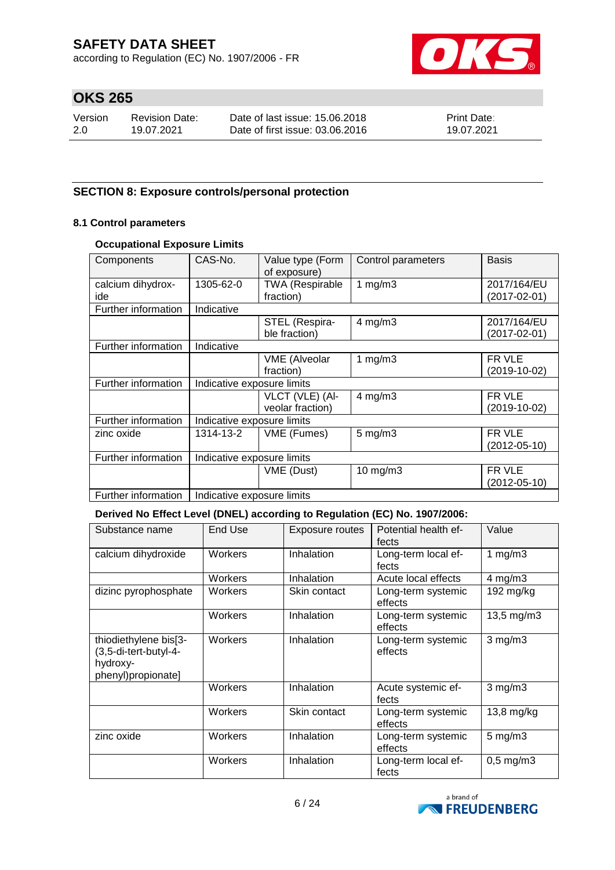according to Regulation (EC) No. 1907/2006 - FR



# **OKS 265**

| Version | Revision Date: | Date of last issue: 15,06,2018  | <b>Print Date:</b> |
|---------|----------------|---------------------------------|--------------------|
| -2.0    | 19.07.2021     | Date of first issue: 03.06.2016 | 19.07.2021         |

## **SECTION 8: Exposure controls/personal protection**

## **8.1 Control parameters**

## **Occupational Exposure Limits**

| Components          | CAS-No.                    | Value type (Form<br>of exposure) | Control parameters | <b>Basis</b>       |  |
|---------------------|----------------------------|----------------------------------|--------------------|--------------------|--|
| calcium dihydrox-   | 1305-62-0                  | <b>TWA (Respirable</b>           | 1 $mg/m3$          | 2017/164/EU        |  |
| ide                 |                            | fraction)                        |                    | $(2017 - 02 - 01)$ |  |
| Further information | Indicative                 |                                  |                    |                    |  |
|                     |                            | STEL (Respira-                   | $4$ mg/m $3$       | 2017/164/EU        |  |
|                     |                            | ble fraction)                    |                    | $(2017 - 02 - 01)$ |  |
| Further information | Indicative                 |                                  |                    |                    |  |
|                     |                            | <b>VME</b> (Alveolar             | 1 $mg/m3$          | FR VLE             |  |
|                     |                            | fraction)                        |                    | $(2019-10-02)$     |  |
| Further information | Indicative exposure limits |                                  |                    |                    |  |
|                     |                            | VLCT (VLE) (Al-                  | $4$ mg/m $3$       | FR VLE             |  |
|                     |                            | veolar fraction)                 |                    | $(2019-10-02)$     |  |
| Further information | Indicative exposure limits |                                  |                    |                    |  |
| zinc oxide          | 1314-13-2                  | VME (Fumes)                      | $5$ mg/m $3$       | FR VLE             |  |
|                     |                            |                                  |                    | $(2012 - 05 - 10)$ |  |
| Further information | Indicative exposure limits |                                  |                    |                    |  |
|                     |                            | VME (Dust)                       | $10$ mg/m $3$      | FR VLE             |  |
|                     |                            |                                  |                    | $(2012 - 05 - 10)$ |  |
| Further information | Indicative exposure limits |                                  |                    |                    |  |

#### **Derived No Effect Level (DNEL) according to Regulation (EC) No. 1907/2006:**

| Substance name                                                                   | End Use | <b>Exposure routes</b> | Potential health ef-<br>fects | Value            |
|----------------------------------------------------------------------------------|---------|------------------------|-------------------------------|------------------|
| calcium dihydroxide                                                              | Workers | Inhalation             | Long-term local ef-<br>fects  | 1 $mg/m3$        |
|                                                                                  | Workers | Inhalation             | Acute local effects           | $4$ mg/m $3$     |
| dizinc pyrophosphate                                                             | Workers | Skin contact           | Long-term systemic<br>effects | 192 mg/kg        |
|                                                                                  | Workers | Inhalation             | Long-term systemic<br>effects | 13,5 mg/m3       |
| thiodiethylene bis[3-<br>(3,5-di-tert-butyl-4-<br>hydroxy-<br>phenyl)propionate] | Workers | Inhalation             | Long-term systemic<br>effects | $3$ mg/m $3$     |
|                                                                                  | Workers | Inhalation             | Acute systemic ef-<br>fects   | $3$ mg/m $3$     |
|                                                                                  | Workers | Skin contact           | Long-term systemic<br>effects | 13,8 mg/kg       |
| zinc oxide                                                                       | Workers | Inhalation             | Long-term systemic<br>effects | $5 \text{ mg/m}$ |
|                                                                                  | Workers | Inhalation             | Long-term local ef-<br>fects  | $0,5$ mg/m $3$   |

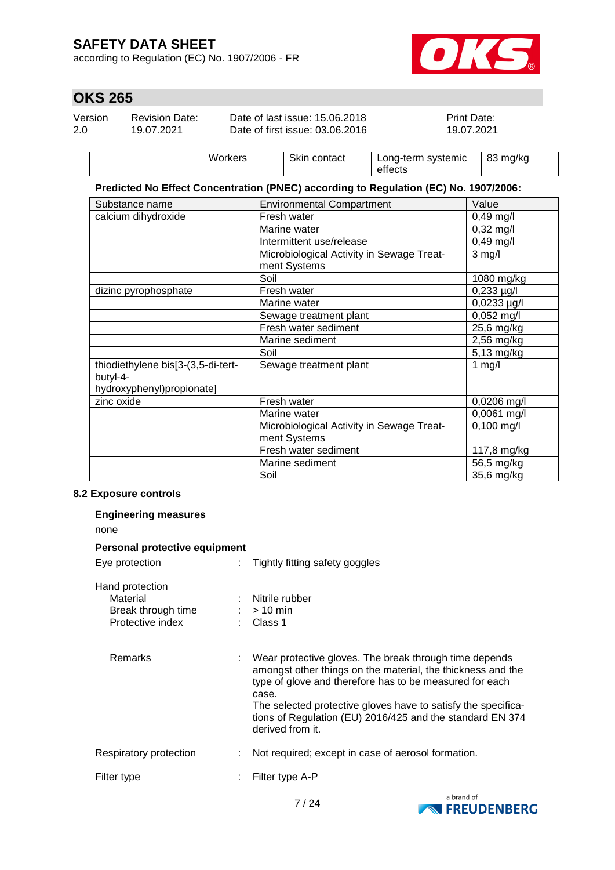according to Regulation (EC) No. 1907/2006 - FR



# **OKS 265**

| Version<br>2.0 | <b>Revision Date:</b><br>19.07.2021                                         |         |      | Date of last issue: 15.06.2018<br>Date of first issue: 03.06.2016 |                                                                                      | Print Date:<br>19.07.2021 |
|----------------|-----------------------------------------------------------------------------|---------|------|-------------------------------------------------------------------|--------------------------------------------------------------------------------------|---------------------------|
|                |                                                                             | Workers |      | Skin contact                                                      | Long-term systemic<br>effects                                                        | 83 mg/kg                  |
|                |                                                                             |         |      |                                                                   | Predicted No Effect Concentration (PNEC) according to Regulation (EC) No. 1907/2006: |                           |
|                | Substance name                                                              |         |      | <b>Environmental Compartment</b>                                  |                                                                                      | Value                     |
|                | calcium dihydroxide                                                         |         |      | Fresh water                                                       |                                                                                      | 0,49 mg/l                 |
|                |                                                                             |         |      | Marine water                                                      |                                                                                      | $0,32$ mg/l               |
|                |                                                                             |         |      | Intermittent use/release                                          |                                                                                      | $0,49$ mg/l               |
|                |                                                                             |         |      | Microbiological Activity in Sewage Treat-<br>ment Systems         |                                                                                      | $3$ mg/l                  |
|                |                                                                             |         | Soil |                                                                   |                                                                                      | 1080 mg/kg                |
|                | dizinc pyrophosphate                                                        |         |      | Fresh water                                                       |                                                                                      | $0,233 \mu g/l$           |
|                |                                                                             |         |      | Marine water                                                      |                                                                                      | $0,0233 \mu g/l$          |
|                |                                                                             |         |      | Sewage treatment plant                                            |                                                                                      | 0,052 mg/l                |
|                |                                                                             |         |      | Fresh water sediment                                              |                                                                                      | 25,6 mg/kg                |
|                |                                                                             |         |      | Marine sediment                                                   |                                                                                      | 2,56 mg/kg                |
|                |                                                                             |         | Soil |                                                                   |                                                                                      | 5,13 mg/kg                |
|                | thiodiethylene bis[3-(3,5-di-tert-<br>butyl-4-<br>hydroxyphenyl)propionate] |         |      | Sewage treatment plant                                            |                                                                                      | $1$ mg/l                  |
|                | zinc oxide                                                                  |         |      | Fresh water                                                       |                                                                                      | 0,0206 mg/l               |
|                |                                                                             |         |      | Marine water                                                      |                                                                                      | 0,0061 mg/l               |
|                |                                                                             |         |      | Microbiological Activity in Sewage Treat-<br>ment Systems         |                                                                                      | $0,100$ mg/l              |
|                |                                                                             |         |      | Fresh water sediment                                              |                                                                                      | 117,8 mg/kg               |
|                |                                                                             |         |      | Marine sediment                                                   |                                                                                      | 56,5 mg/kg                |
|                |                                                                             |         | Soil |                                                                   |                                                                                      | 35,6 mg/kg                |
|                |                                                                             |         |      |                                                                   |                                                                                      |                           |

#### **8.2 Exposure controls**

| <b>Engineering measures</b>                                           |                                                                                                                                                                                                                                                                                                                                             |
|-----------------------------------------------------------------------|---------------------------------------------------------------------------------------------------------------------------------------------------------------------------------------------------------------------------------------------------------------------------------------------------------------------------------------------|
| none                                                                  |                                                                                                                                                                                                                                                                                                                                             |
| Personal protective equipment                                         |                                                                                                                                                                                                                                                                                                                                             |
| Eye protection                                                        | Tightly fitting safety goggles                                                                                                                                                                                                                                                                                                              |
| Hand protection<br>Material<br>Break through time<br>Protective index | Nitrile rubber<br>$:$ > 10 min<br>$\therefore$ Class 1                                                                                                                                                                                                                                                                                      |
| Remarks                                                               | Wear protective gloves. The break through time depends<br>amongst other things on the material, the thickness and the<br>type of glove and therefore has to be measured for each<br>case.<br>The selected protective gloves have to satisfy the specifica-<br>tions of Regulation (EU) 2016/425 and the standard EN 374<br>derived from it. |
| Respiratory protection                                                | Not required; except in case of aerosol formation.                                                                                                                                                                                                                                                                                          |
| Filter type                                                           | Filter type A-P                                                                                                                                                                                                                                                                                                                             |
|                                                                       |                                                                                                                                                                                                                                                                                                                                             |

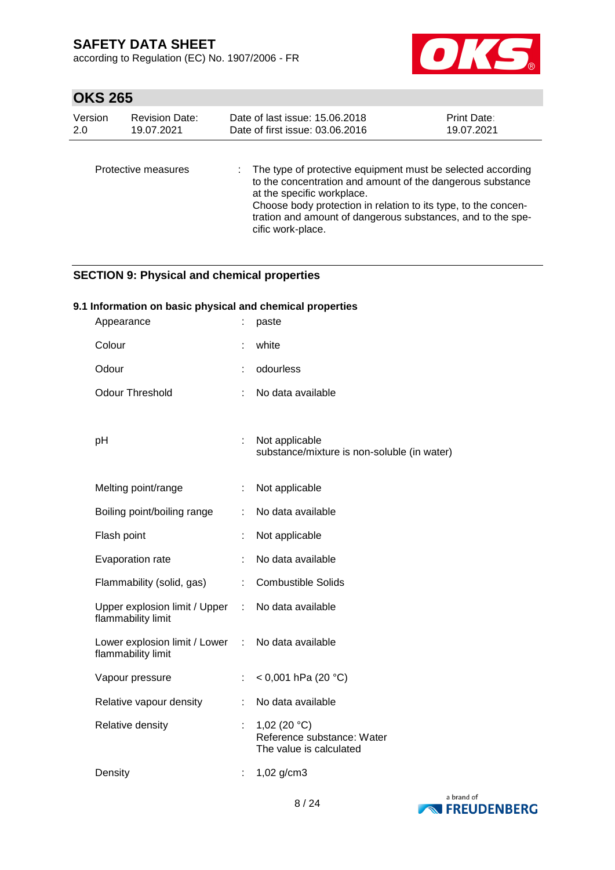according to Regulation (EC) No. 1907/2006 - FR



# **OKS 265**

| Version | <b>Revision Date:</b> | Date of last issue: 15.06.2018                                                                                                                                                                                                                                                                                  | <b>Print Date:</b> |
|---------|-----------------------|-----------------------------------------------------------------------------------------------------------------------------------------------------------------------------------------------------------------------------------------------------------------------------------------------------------------|--------------------|
| 2.0     | 19.07.2021            | Date of first issue: 03.06.2016                                                                                                                                                                                                                                                                                 | 19.07.2021         |
|         | Protective measures   | : The type of protective equipment must be selected according<br>to the concentration and amount of the dangerous substance<br>at the specific workplace.<br>Choose body protection in relation to its type, to the concen-<br>tration and amount of dangerous substances, and to the spe-<br>cific work-place. |                    |

## **SECTION 9: Physical and chemical properties**

## **9.1 Information on basic physical and chemical properties**

| Appearance                                          |                  | paste                                                                    |
|-----------------------------------------------------|------------------|--------------------------------------------------------------------------|
| Colour                                              |                  | white                                                                    |
| Odour                                               |                  | odourless                                                                |
| <b>Odour Threshold</b>                              |                  | No data available                                                        |
|                                                     |                  |                                                                          |
| pH                                                  |                  | Not applicable<br>substance/mixture is non-soluble (in water)            |
|                                                     |                  |                                                                          |
| Melting point/range                                 | ÷.               | Not applicable                                                           |
| Boiling point/boiling range                         | ÷                | No data available                                                        |
| Flash point                                         |                  | Not applicable                                                           |
| Evaporation rate                                    |                  | No data available                                                        |
| Flammability (solid, gas)                           | ÷                | <b>Combustible Solids</b>                                                |
| Upper explosion limit / Upper<br>flammability limit | $\sim$ 10 $\sim$ | No data available                                                        |
| Lower explosion limit / Lower<br>flammability limit | $\mathcal{L}$    | No data available                                                        |
| Vapour pressure                                     |                  | < 0,001 hPa (20 $^{\circ}$ C)                                            |
| Relative vapour density                             | ÷                | No data available                                                        |
| Relative density                                    |                  | 1,02 (20 $°C$ )<br>Reference substance: Water<br>The value is calculated |
| Density                                             |                  | 1,02 g/cm3                                                               |

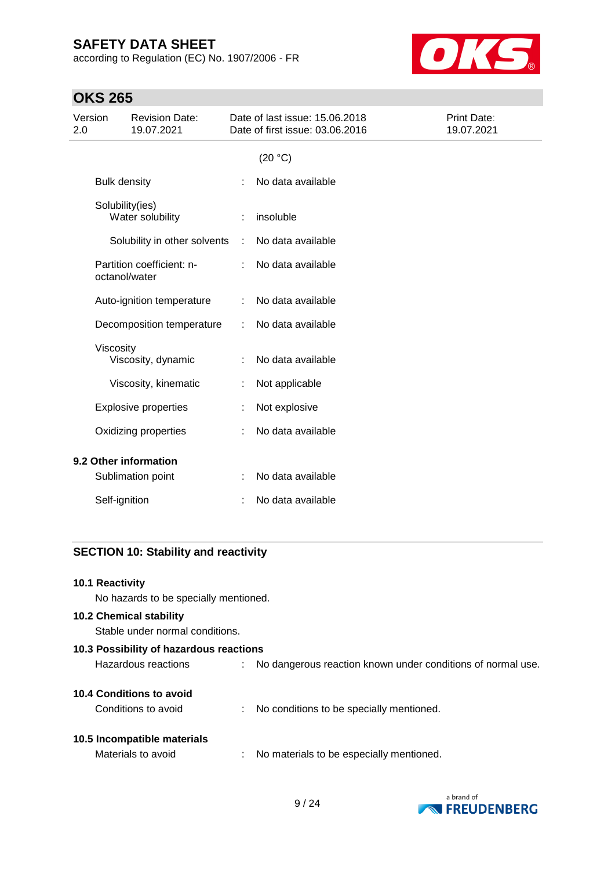according to Regulation (EC) No. 1907/2006 - FR



# **OKS 265**

| Version<br>2.0 |                     | <b>Revision Date:</b><br>19.07.2021 |   | Date of last issue: 15.06.2018<br>Date of first issue: 03.06.2016 | Print Date:<br>19.07.2021 |
|----------------|---------------------|-------------------------------------|---|-------------------------------------------------------------------|---------------------------|
|                |                     |                                     |   | (20 °C)                                                           |                           |
|                | <b>Bulk density</b> |                                     |   | No data available                                                 |                           |
|                | Solubility(ies)     | Water solubility                    |   | insoluble                                                         |                           |
|                |                     | Solubility in other solvents        | ÷ | No data available                                                 |                           |
|                | octanol/water       | Partition coefficient: n-           |   | No data available                                                 |                           |
|                |                     | Auto-ignition temperature           |   | No data available                                                 |                           |
|                |                     | Decomposition temperature           |   | No data available                                                 |                           |
|                | Viscosity           | Viscosity, dynamic                  |   | No data available                                                 |                           |
|                |                     | Viscosity, kinematic                | ÷ | Not applicable                                                    |                           |
|                |                     | <b>Explosive properties</b>         |   | Not explosive                                                     |                           |
|                |                     | Oxidizing properties                |   | No data available                                                 |                           |
|                |                     | 9.2 Other information               |   |                                                                   |                           |
|                |                     | Sublimation point                   |   | No data available                                                 |                           |
|                | Self-ignition       |                                     |   | No data available                                                 |                           |
|                |                     |                                     |   |                                                                   |                           |

## **SECTION 10: Stability and reactivity**

#### **10.1 Reactivity**

No hazards to be specially mentioned.

#### **10.2 Chemical stability**

Stable under normal conditions.

| 10.3 Possibility of hazardous reactions |  |                                                             |  |  |  |
|-----------------------------------------|--|-------------------------------------------------------------|--|--|--|
| Hazardous reactions                     |  | No dangerous reaction known under conditions of normal use. |  |  |  |
| 10.4 Conditions to avoid                |  |                                                             |  |  |  |
| Conditions to avoid                     |  | No conditions to be specially mentioned.                    |  |  |  |
| 10.5 Incompatible materials             |  |                                                             |  |  |  |
| Materials to avoid                      |  | No materials to be especially mentioned.                    |  |  |  |
|                                         |  |                                                             |  |  |  |

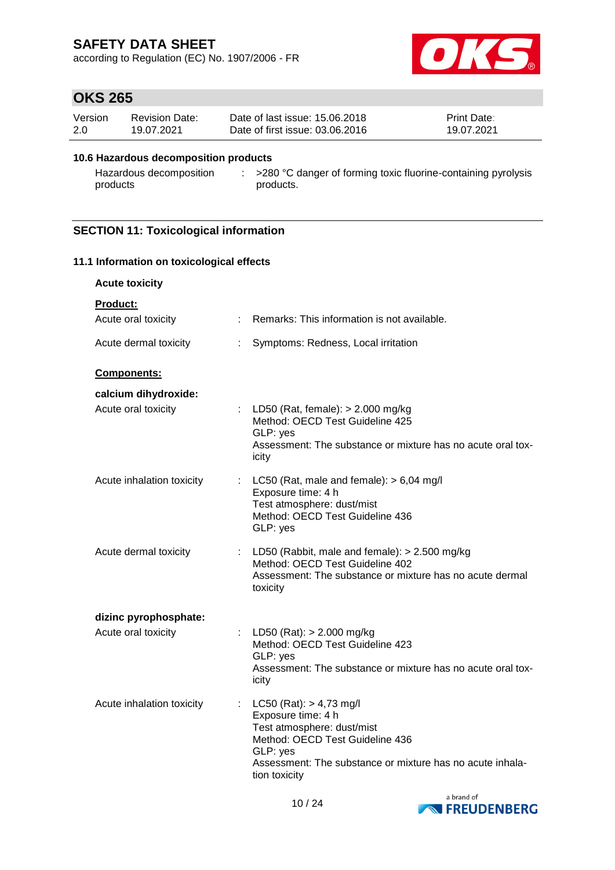according to Regulation (EC) No. 1907/2006 - FR



# **OKS 265**

| Version | <b>Revision Date:</b> | Date of last issue: 15.06.2018  | <b>Print Date:</b> |
|---------|-----------------------|---------------------------------|--------------------|
| 2.0     | 19.07.2021            | Date of first issue: 03.06.2016 | 19.07.2021         |

#### **10.6 Hazardous decomposition products**

Hazardous decomposition : >280 °C danger of forming toxic fluorine-containing pyrolysis products products.

## **SECTION 11: Toxicological information**

| 11.1 Information on toxicological effects   |                             |                                                                                                                                                                                                              |  |  |  |
|---------------------------------------------|-----------------------------|--------------------------------------------------------------------------------------------------------------------------------------------------------------------------------------------------------------|--|--|--|
| <b>Acute toxicity</b>                       |                             |                                                                                                                                                                                                              |  |  |  |
| <b>Product:</b><br>Acute oral toxicity      |                             | : Remarks: This information is not available.                                                                                                                                                                |  |  |  |
| Acute dermal toxicity                       | ÷.                          | Symptoms: Redness, Local irritation                                                                                                                                                                          |  |  |  |
| Components:                                 |                             |                                                                                                                                                                                                              |  |  |  |
| calcium dihydroxide:<br>Acute oral toxicity |                             | : LD50 (Rat, female): $> 2.000$ mg/kg<br>Method: OECD Test Guideline 425<br>GLP: yes<br>Assessment: The substance or mixture has no acute oral tox-<br>icity                                                 |  |  |  |
| Acute inhalation toxicity                   | $\mathbb{Z}^{\mathbb{Z}}$ . | LC50 (Rat, male and female): $> 6,04$ mg/l<br>Exposure time: 4 h<br>Test atmosphere: dust/mist<br>Method: OECD Test Guideline 436<br>GLP: yes                                                                |  |  |  |
| Acute dermal toxicity                       | t.                          | LD50 (Rabbit, male and female): $> 2.500$ mg/kg<br>Method: OECD Test Guideline 402<br>Assessment: The substance or mixture has no acute dermal<br>toxicity                                                   |  |  |  |
| dizinc pyrophosphate:                       |                             |                                                                                                                                                                                                              |  |  |  |
| Acute oral toxicity                         |                             | LD50 (Rat): $> 2.000$ mg/kg<br>Method: OECD Test Guideline 423<br>GLP: yes<br>Assessment: The substance or mixture has no acute oral tox-<br>icity                                                           |  |  |  |
| Acute inhalation toxicity                   |                             | : $LC50 (Rat): > 4,73 mg/l$<br>Exposure time: 4 h<br>Test atmosphere: dust/mist<br>Method: OECD Test Guideline 436<br>GLP: yes<br>Assessment: The substance or mixture has no acute inhala-<br>tion toxicity |  |  |  |

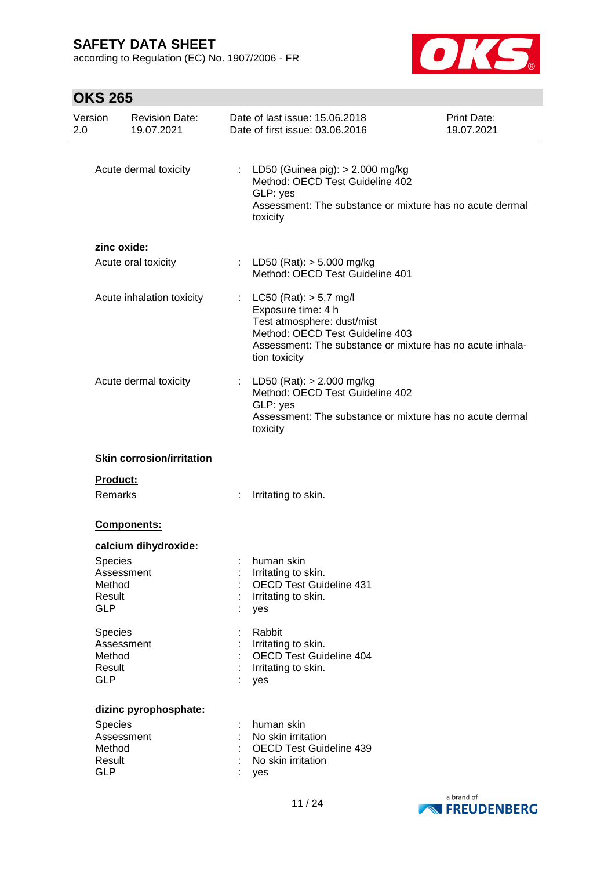according to Regulation (EC) No. 1907/2006 - FR



| Version<br>2.0                            | <b>Revision Date:</b><br>19.07.2021 | Date of last issue: 15.06.2018<br>Date of first issue: 03.06.2016                                                                                                                               | Print Date:<br>19.07.2021 |
|-------------------------------------------|-------------------------------------|-------------------------------------------------------------------------------------------------------------------------------------------------------------------------------------------------|---------------------------|
|                                           | Acute dermal toxicity               | : LD50 (Guinea pig): $> 2.000$ mg/kg<br>Method: OECD Test Guideline 402<br>GLP: yes<br>Assessment: The substance or mixture has no acute dermal<br>toxicity                                     |                           |
|                                           | zinc oxide:                         |                                                                                                                                                                                                 |                           |
|                                           | Acute oral toxicity                 | : LD50 (Rat): $>$ 5.000 mg/kg<br>Method: OECD Test Guideline 401                                                                                                                                |                           |
|                                           | Acute inhalation toxicity           | $LC50$ (Rat): $> 5.7$ mg/l<br>Exposure time: 4 h<br>Test atmosphere: dust/mist<br>Method: OECD Test Guideline 403<br>Assessment: The substance or mixture has no acute inhala-<br>tion toxicity |                           |
|                                           | Acute dermal toxicity               | : LD50 (Rat): $> 2.000$ mg/kg<br>Method: OECD Test Guideline 402<br>GLP: yes<br>Assessment: The substance or mixture has no acute dermal<br>toxicity                                            |                           |
|                                           | <b>Skin corrosion/irritation</b>    |                                                                                                                                                                                                 |                           |
| Product:<br>Remarks                       |                                     | Irritating to skin.                                                                                                                                                                             |                           |
|                                           | Components:                         |                                                                                                                                                                                                 |                           |
| Species<br>Method<br>Result<br><b>GLP</b> | calcium dihydroxide:<br>Assessment  | human skin<br>Irritating to skin.<br><b>OECD Test Guideline 431</b><br>Irritating to skin.<br>yes                                                                                               |                           |
| Species<br>Method<br>Result<br><b>GLP</b> | Assessment                          | Rabbit<br>Irritating to skin.<br><b>OECD Test Guideline 404</b><br>Irritating to skin.<br>yes                                                                                                   |                           |
| Species<br>Method<br>Result<br><b>GLP</b> | dizinc pyrophosphate:<br>Assessment | human skin<br>No skin irritation<br><b>OECD Test Guideline 439</b><br>No skin irritation<br>yes                                                                                                 |                           |

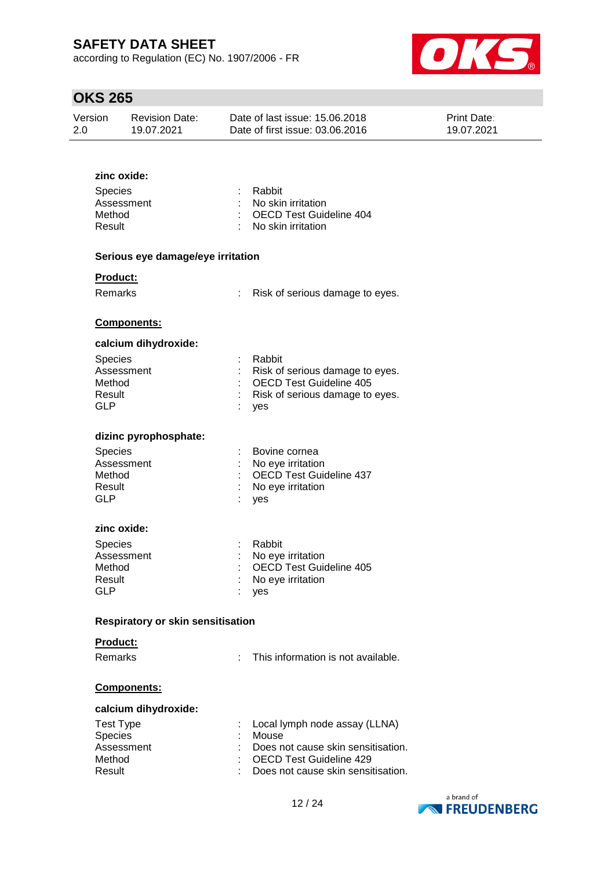according to Regulation (EC) No. 1907/2006 - FR



## **OKS 265**

| Version | <b>Revision Date:</b> | Date of last issue: 15.06.2018  | <b>Print Date:</b> |
|---------|-----------------------|---------------------------------|--------------------|
| 2.0     | 19.07.2021            | Date of first issue: 03.06.2016 | 19.07.2021         |

# **zinc oxide:** Species : Rabbit Assessment : No skin irritation Method : OECD Test Guideline 404 Result : No skin irritation **Serious eye damage/eye irritation Product:** Remarks : Risk of serious damage to eyes. **Components: calcium dihydroxide:** Species : Rabbit Assessment : Risk of serious damage to eyes. Method : OECD Test Guideline 405 Result : Risk of serious damage to eyes. GLP : yes **dizinc pyrophosphate:** Species : Bovine cornea Assessment : No eye irritation Method : OECD Test Guideline 437 Result : No eye irritation GLP : yes **zinc oxide:** Species : Rabbit Assessment : No eye irritation Method : OECD Test Guideline 405 Result : No eye irritation GLP : ves **Respiratory or skin sensitisation Product:** Remarks : This information is not available. **Components: calcium dihydroxide:** Test Type : Local lymph node assay (LLNA) Species : Mouse Assessment : Does not cause skin sensitisation. Method : OECD Test Guideline 429 Result : Does not cause skin sensitisation.

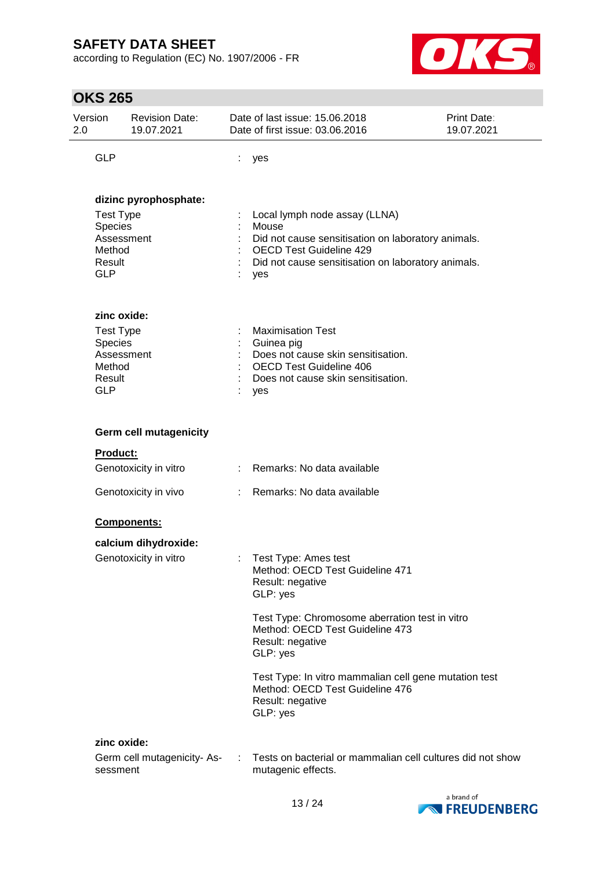according to Regulation (EC) No. 1907/2006 - FR



| <b>OKS 265</b>                                                                                       |                                                       |    |                                                                                                                                                                                             |  |  |
|------------------------------------------------------------------------------------------------------|-------------------------------------------------------|----|---------------------------------------------------------------------------------------------------------------------------------------------------------------------------------------------|--|--|
| Version<br>2.0                                                                                       | <b>Revision Date:</b><br>19.07.2021                   |    | Date of last issue: 15.06.2018<br><b>Print Date:</b><br>Date of first issue: 03.06.2016<br>19.07.2021                                                                                       |  |  |
| <b>GLP</b>                                                                                           |                                                       | ÷  | yes                                                                                                                                                                                         |  |  |
| dizinc pyrophosphate:<br><b>Test Type</b><br>Species<br>Assessment<br>Method<br>Result<br><b>GLP</b> |                                                       |    | Local lymph node assay (LLNA)<br>Mouse<br>Did not cause sensitisation on laboratory animals.<br><b>OECD Test Guideline 429</b><br>Did not cause sensitisation on laboratory animals.<br>yes |  |  |
| Species<br>Method<br>Result<br><b>GLP</b>                                                            | zinc oxide:<br><b>Test Type</b><br>Assessment         |    | <b>Maximisation Test</b><br>Guinea pig<br>Does not cause skin sensitisation.<br><b>OECD Test Guideline 406</b><br>Does not cause skin sensitisation.<br>yes                                 |  |  |
|                                                                                                      | <b>Germ cell mutagenicity</b>                         |    |                                                                                                                                                                                             |  |  |
| <b>Product:</b>                                                                                      |                                                       |    |                                                                                                                                                                                             |  |  |
|                                                                                                      | Genotoxicity in vitro                                 |    | : Remarks: No data available                                                                                                                                                                |  |  |
|                                                                                                      | Genotoxicity in vivo                                  | t. | Remarks: No data available                                                                                                                                                                  |  |  |
|                                                                                                      | <b>Components:</b>                                    |    |                                                                                                                                                                                             |  |  |
|                                                                                                      | calcium dihydroxide:<br>Genotoxicity in vitro         |    | Test Type: Ames test<br>Method: OECD Test Guideline 471<br>Result: negative<br>GLP: yes                                                                                                     |  |  |
|                                                                                                      |                                                       |    | Test Type: Chromosome aberration test in vitro<br>Method: OECD Test Guideline 473<br>Result: negative<br>GLP: yes                                                                           |  |  |
|                                                                                                      |                                                       |    | Test Type: In vitro mammalian cell gene mutation test<br>Method: OECD Test Guideline 476<br>Result: negative<br>GLP: yes                                                                    |  |  |
|                                                                                                      | zinc oxide:<br>Germ cell mutagenicity-As-<br>sessment |    | Tests on bacterial or mammalian cell cultures did not show<br>mutagenic effects.                                                                                                            |  |  |

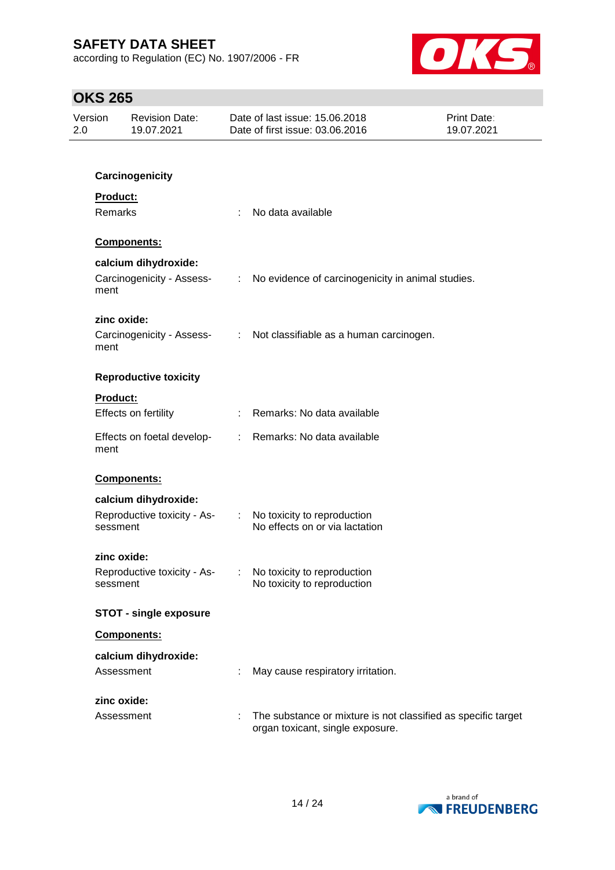according to Regulation (EC) No. 1907/2006 - FR



| Version<br>2.0 | <b>Revision Date:</b><br>19.07.2021     | Date of last issue: 15.06.2018<br>Date of first issue: 03.06.2016                                 | <b>Print Date:</b><br>19.07.2021 |
|----------------|-----------------------------------------|---------------------------------------------------------------------------------------------------|----------------------------------|
|                |                                         |                                                                                                   |                                  |
|                | Carcinogenicity                         |                                                                                                   |                                  |
|                | <b>Product:</b>                         |                                                                                                   |                                  |
|                | Remarks                                 | No data available                                                                                 |                                  |
|                | Components:                             |                                                                                                   |                                  |
|                | calcium dihydroxide:                    |                                                                                                   |                                  |
|                | Carcinogenicity - Assess-<br>ment       | No evidence of carcinogenicity in animal studies.<br>$\mathbb{Z}^{\times}$                        |                                  |
|                | zinc oxide:                             |                                                                                                   |                                  |
|                | ment                                    | Carcinogenicity - Assess- : Not classifiable as a human carcinogen.                               |                                  |
|                | <b>Reproductive toxicity</b>            |                                                                                                   |                                  |
|                | <b>Product:</b>                         |                                                                                                   |                                  |
|                | Effects on fertility                    | Remarks: No data available                                                                        |                                  |
|                | Effects on foetal develop-<br>ment      | : Remarks: No data available                                                                      |                                  |
|                | Components:                             |                                                                                                   |                                  |
|                | calcium dihydroxide:                    |                                                                                                   |                                  |
|                | Reproductive toxicity - As-<br>sessment | No toxicity to reproduction<br>$\mathcal{D}^{\mathcal{A}}$<br>No effects on or via lactation      |                                  |
|                | zinc oxide:                             |                                                                                                   |                                  |
|                | Reproductive toxicity - As-<br>sessment | No toxicity to reproduction<br>No toxicity to reproduction                                        |                                  |
|                | <b>STOT - single exposure</b>           |                                                                                                   |                                  |
|                | Components:                             |                                                                                                   |                                  |
|                | calcium dihydroxide:                    |                                                                                                   |                                  |
|                | Assessment                              | May cause respiratory irritation.                                                                 |                                  |
|                | zinc oxide:                             |                                                                                                   |                                  |
|                | Assessment                              | The substance or mixture is not classified as specific target<br>organ toxicant, single exposure. |                                  |

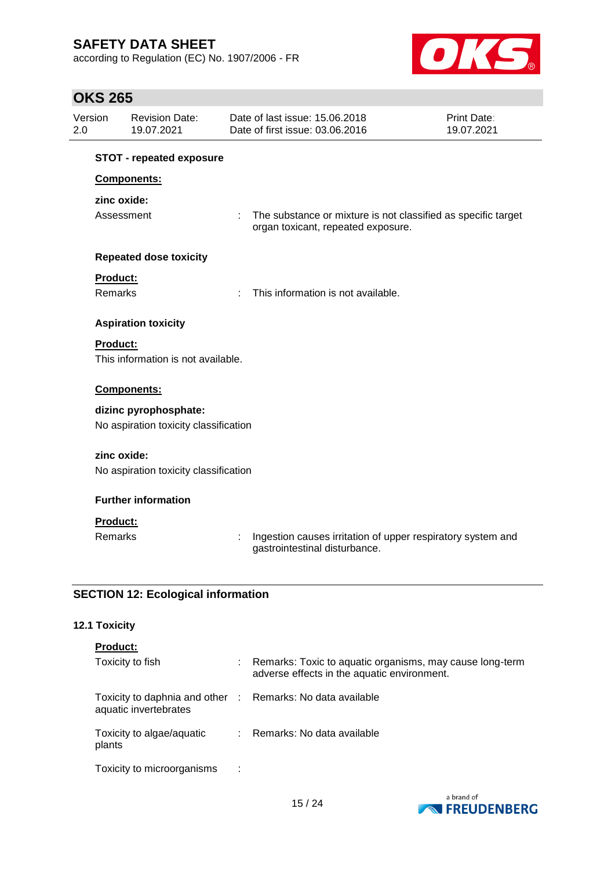according to Regulation (EC) No. 1907/2006 - FR



# **OKS 265**

| Version         | <b>Revision Date:</b><br>19.07.2021       | Date of last issue: 15,06,2018<br>Date of first issue: 03.06.2016                            | Print Date:<br>19.07.2021                                     |
|-----------------|-------------------------------------------|----------------------------------------------------------------------------------------------|---------------------------------------------------------------|
|                 | <b>STOT - repeated exposure</b>           |                                                                                              |                                                               |
|                 | Components:                               |                                                                                              |                                                               |
|                 | zinc oxide:                               |                                                                                              |                                                               |
|                 | Assessment                                | ÷<br>organ toxicant, repeated exposure.                                                      | The substance or mixture is not classified as specific target |
|                 | <b>Repeated dose toxicity</b>             |                                                                                              |                                                               |
| Product:        |                                           |                                                                                              |                                                               |
| <b>Remarks</b>  |                                           | This information is not available.<br>÷                                                      |                                                               |
|                 | <b>Aspiration toxicity</b>                |                                                                                              |                                                               |
| Product:        |                                           |                                                                                              |                                                               |
|                 | This information is not available.        |                                                                                              |                                                               |
|                 | Components:                               |                                                                                              |                                                               |
|                 | dizinc pyrophosphate:                     |                                                                                              |                                                               |
|                 | No aspiration toxicity classification     |                                                                                              |                                                               |
|                 | zinc oxide:                               |                                                                                              |                                                               |
|                 | No aspiration toxicity classification     |                                                                                              |                                                               |
|                 | <b>Further information</b>                |                                                                                              |                                                               |
| <b>Product:</b> |                                           |                                                                                              |                                                               |
| <b>Remarks</b>  |                                           | Ingestion causes irritation of upper respiratory system and<br>gastrointestinal disturbance. |                                                               |
|                 | <b>SECTION 12: Ecological information</b> |                                                                                              |                                                               |

## **12.1 Toxicity**

| <b>Product:</b>                                                                     |                                                                                                         |
|-------------------------------------------------------------------------------------|---------------------------------------------------------------------------------------------------------|
| Toxicity to fish                                                                    | Remarks: Toxic to aquatic organisms, may cause long-term<br>adverse effects in the aquatic environment. |
| Toxicity to daphnia and other : Remarks: No data available<br>aquatic invertebrates |                                                                                                         |
| Toxicity to algae/aquatic<br>plants                                                 | : Remarks: No data available                                                                            |
| Toxicity to microorganisms<br>- 11                                                  |                                                                                                         |

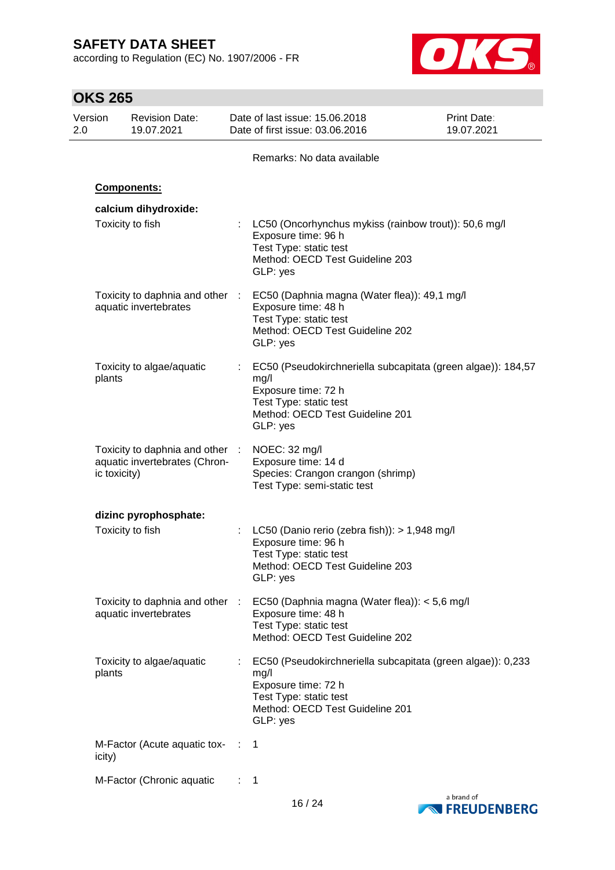according to Regulation (EC) No. 1907/2006 - FR



| <b>OKS 265</b> |              |                                                                  |    |                                                                     |                                                                                  |                                                              |
|----------------|--------------|------------------------------------------------------------------|----|---------------------------------------------------------------------|----------------------------------------------------------------------------------|--------------------------------------------------------------|
| Version<br>2.0 |              | <b>Revision Date:</b><br>19.07.2021                              |    | Date of last issue: 15.06.2018<br>Date of first issue: 03.06.2016   |                                                                                  | <b>Print Date:</b><br>19.07.2021                             |
|                |              |                                                                  |    | Remarks: No data available                                          |                                                                                  |                                                              |
|                |              | Components:                                                      |    |                                                                     |                                                                                  |                                                              |
|                |              | calcium dihydroxide:                                             |    |                                                                     |                                                                                  |                                                              |
|                |              | Toxicity to fish                                                 |    | Exposure time: 96 h<br>Test Type: static test<br>GLP: yes           | Method: OECD Test Guideline 203                                                  | LC50 (Oncorhynchus mykiss (rainbow trout)): 50,6 mg/l        |
|                |              | Toxicity to daphnia and other :<br>aquatic invertebrates         |    | Exposure time: 48 h<br>Test Type: static test<br>GLP: yes           | EC50 (Daphnia magna (Water flea)): 49,1 mg/l<br>Method: OECD Test Guideline 202  |                                                              |
|                | plants       | Toxicity to algae/aquatic                                        |    | mg/l<br>Exposure time: 72 h<br>Test Type: static test<br>GLP: yes   | Method: OECD Test Guideline 201                                                  | EC50 (Pseudokirchneriella subcapitata (green algae)): 184,57 |
|                | ic toxicity) | Toxicity to daphnia and other :<br>aquatic invertebrates (Chron- |    | NOEC: 32 mg/l<br>Exposure time: 14 d<br>Test Type: semi-static test | Species: Crangon crangon (shrimp)                                                |                                                              |
|                |              | dizinc pyrophosphate:                                            |    |                                                                     |                                                                                  |                                                              |
|                |              | Toxicity to fish                                                 |    | Exposure time: 96 h<br>Test Type: static test<br>GLP: yes           | LC50 (Danio rerio (zebra fish)): > 1,948 mg/l<br>Method: OECD Test Guideline 203 |                                                              |
|                |              | Toxicity to daphnia and other :<br>aquatic invertebrates         |    | Exposure time: 48 h<br>Test Type: static test                       | EC50 (Daphnia magna (Water flea)): < 5,6 mg/l<br>Method: OECD Test Guideline 202 |                                                              |
|                | plants       | Toxicity to algae/aquatic                                        | t. | mg/l<br>Exposure time: 72 h<br>Test Type: static test<br>GLP: yes   | Method: OECD Test Guideline 201                                                  | EC50 (Pseudokirchneriella subcapitata (green algae)): 0,233  |
|                | icity)       | M-Factor (Acute aquatic tox- :                                   |    | 1                                                                   |                                                                                  |                                                              |
|                |              | M-Factor (Chronic aquatic                                        |    | 1                                                                   |                                                                                  |                                                              |

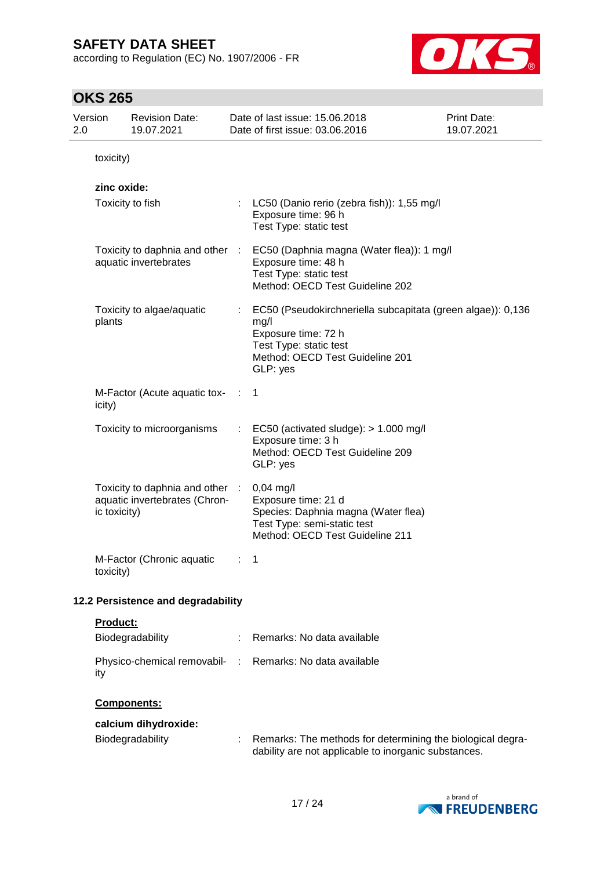according to Regulation (EC) No. 1907/2006 - FR



| 2.0       | Version         | <b>Revision Date:</b><br>19.07.2021                              |   | Date of last issue: 15.06.2018<br>Date of first issue: 03.06.2016                                                                                                   | Print Date:<br>19.07.2021 |  |
|-----------|-----------------|------------------------------------------------------------------|---|---------------------------------------------------------------------------------------------------------------------------------------------------------------------|---------------------------|--|
| toxicity) |                 |                                                                  |   |                                                                                                                                                                     |                           |  |
|           | zinc oxide:     | Toxicity to fish                                                 |   | LC50 (Danio rerio (zebra fish)): 1,55 mg/l<br>Exposure time: 96 h<br>Test Type: static test                                                                         |                           |  |
|           |                 | Toxicity to daphnia and other :<br>aquatic invertebrates         |   | EC50 (Daphnia magna (Water flea)): 1 mg/l<br>Exposure time: 48 h<br>Test Type: static test<br>Method: OECD Test Guideline 202                                       |                           |  |
|           | plants          | Toxicity to algae/aquatic                                        |   | EC50 (Pseudokirchneriella subcapitata (green algae)): 0,136<br>mg/l<br>Exposure time: 72 h<br>Test Type: static test<br>Method: OECD Test Guideline 201<br>GLP: yes |                           |  |
|           | icity)          | M-Factor (Acute aquatic tox-                                     |   | $\mathbf 1$                                                                                                                                                         |                           |  |
|           |                 | Toxicity to microorganisms                                       | ÷ | EC50 (activated sludge): $> 1.000$ mg/l<br>Exposure time: 3 h<br>Method: OECD Test Guideline 209<br>GLP: yes                                                        |                           |  |
|           | ic toxicity)    | Toxicity to daphnia and other :<br>aquatic invertebrates (Chron- |   | $0,04$ mg/l<br>Exposure time: 21 d<br>Species: Daphnia magna (Water flea)<br>Test Type: semi-static test<br>Method: OECD Test Guideline 211                         |                           |  |
|           | toxicity)       | M-Factor (Chronic aquatic                                        | ÷ | 1                                                                                                                                                                   |                           |  |
|           |                 | 12.2 Persistence and degradability                               |   |                                                                                                                                                                     |                           |  |
|           | <b>Product:</b> | Biodegradability                                                 |   | Remarks: No data available                                                                                                                                          |                           |  |
|           | ity             | Physico-chemical removabil- :                                    |   | Remarks: No data available                                                                                                                                          |                           |  |
|           |                 | Components:                                                      |   |                                                                                                                                                                     |                           |  |
|           |                 | calcium dihydroxide:<br>Biodegradability                         |   | Remarks: The methods for determining the biological degra-<br>dability are not applicable to inorganic substances.                                                  |                           |  |

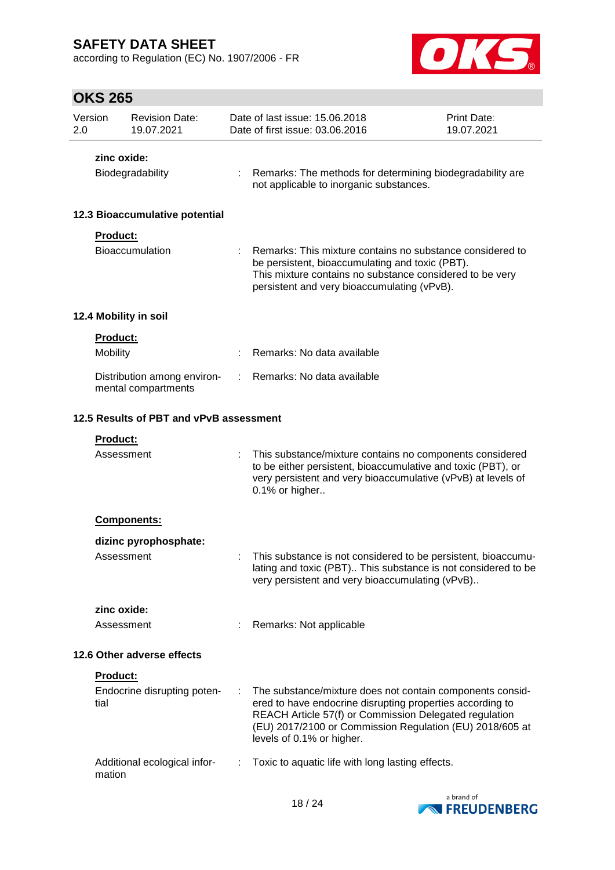according to Regulation (EC) No. 1907/2006 - FR



| Version<br>2.0 |                            | <b>Revision Date:</b><br>19.07.2021                |    | Date of last issue: 15,06,2018<br>Date of first issue: 03.06.2016                                                                                                                                                                                                         | Print Date:<br>19.07.2021 |  |
|----------------|----------------------------|----------------------------------------------------|----|---------------------------------------------------------------------------------------------------------------------------------------------------------------------------------------------------------------------------------------------------------------------------|---------------------------|--|
|                | zinc oxide:                |                                                    |    |                                                                                                                                                                                                                                                                           |                           |  |
|                |                            | Biodegradability                                   |    | Remarks: The methods for determining biodegradability are<br>not applicable to inorganic substances.                                                                                                                                                                      |                           |  |
|                |                            | 12.3 Bioaccumulative potential                     |    |                                                                                                                                                                                                                                                                           |                           |  |
|                | <b>Product:</b>            | Bioaccumulation                                    |    | Remarks: This mixture contains no substance considered to<br>be persistent, bioaccumulating and toxic (PBT).<br>This mixture contains no substance considered to be very<br>persistent and very bioaccumulating (vPvB).                                                   |                           |  |
|                |                            | 12.4 Mobility in soil                              |    |                                                                                                                                                                                                                                                                           |                           |  |
|                | <b>Product:</b>            |                                                    |    |                                                                                                                                                                                                                                                                           |                           |  |
|                | Mobility                   |                                                    |    | Remarks: No data available                                                                                                                                                                                                                                                |                           |  |
|                |                            | Distribution among environ-<br>mental compartments | ÷. | Remarks: No data available                                                                                                                                                                                                                                                |                           |  |
|                |                            | 12.5 Results of PBT and vPvB assessment            |    |                                                                                                                                                                                                                                                                           |                           |  |
|                | Product:                   |                                                    |    |                                                                                                                                                                                                                                                                           |                           |  |
|                | Assessment                 |                                                    |    | This substance/mixture contains no components considered<br>to be either persistent, bioaccumulative and toxic (PBT), or<br>very persistent and very bioaccumulative (vPvB) at levels of<br>0.1% or higher                                                                |                           |  |
|                |                            | <b>Components:</b>                                 |    |                                                                                                                                                                                                                                                                           |                           |  |
|                |                            | dizinc pyrophosphate:                              |    |                                                                                                                                                                                                                                                                           |                           |  |
|                | Assessment                 |                                                    |    | This substance is not considered to be persistent, bioaccumu-<br>lating and toxic (PBT) This substance is not considered to be<br>very persistent and very bioaccumulating (vPvB)                                                                                         |                           |  |
|                | zinc oxide:                |                                                    |    |                                                                                                                                                                                                                                                                           |                           |  |
|                | Assessment                 |                                                    |    | Remarks: Not applicable                                                                                                                                                                                                                                                   |                           |  |
|                | 12.6 Other adverse effects |                                                    |    |                                                                                                                                                                                                                                                                           |                           |  |
|                | Product:                   |                                                    |    |                                                                                                                                                                                                                                                                           |                           |  |
|                | tial                       | Endocrine disrupting poten-                        | ÷  | The substance/mixture does not contain components consid-<br>ered to have endocrine disrupting properties according to<br>REACH Article 57(f) or Commission Delegated regulation<br>(EU) 2017/2100 or Commission Regulation (EU) 2018/605 at<br>levels of 0.1% or higher. |                           |  |
|                | mation                     | Additional ecological infor-                       |    | Toxic to aquatic life with long lasting effects.                                                                                                                                                                                                                          |                           |  |

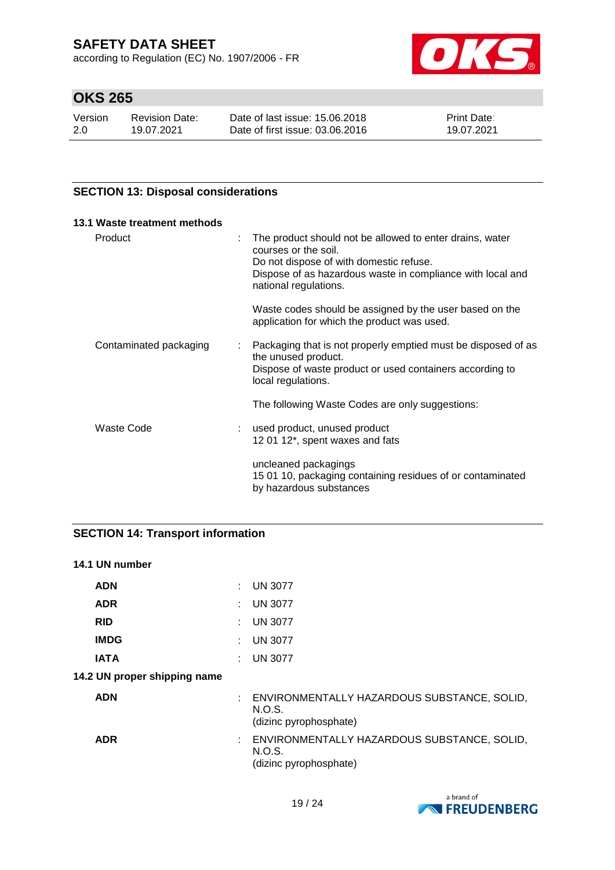according to Regulation (EC) No. 1907/2006 - FR



# **OKS 265**

| Version | <b>Revision Date:</b> | Date of last issue: 15,06,2018  | <b>Print Date:</b> |
|---------|-----------------------|---------------------------------|--------------------|
| 2.0     | 19.07.2021            | Date of first issue: 03.06.2016 | 19.07.2021         |

## **SECTION 13: Disposal considerations**

| 13.1 Waste treatment methods |                                                                                                                                                                                                                    |
|------------------------------|--------------------------------------------------------------------------------------------------------------------------------------------------------------------------------------------------------------------|
| Product                      | The product should not be allowed to enter drains, water<br>courses or the soil.<br>Do not dispose of with domestic refuse.<br>Dispose of as hazardous waste in compliance with local and<br>national regulations. |
|                              | Waste codes should be assigned by the user based on the<br>application for which the product was used.                                                                                                             |
| Contaminated packaging       | : Packaging that is not properly emptied must be disposed of as<br>the unused product.<br>Dispose of waste product or used containers according to<br>local regulations.                                           |
|                              | The following Waste Codes are only suggestions:                                                                                                                                                                    |
| Waste Code                   | used product, unused product<br>12 01 12*, spent waxes and fats                                                                                                                                                    |
|                              | uncleaned packagings<br>15 01 10, packaging containing residues of or contaminated<br>by hazardous substances                                                                                                      |

## **SECTION 14: Transport information**

## **14.1 UN number**

| <b>ADN</b>                   | : UN 3077                                                                         |
|------------------------------|-----------------------------------------------------------------------------------|
| <b>ADR</b>                   | $:$ UN 3077                                                                       |
| <b>RID</b>                   | $:$ UN 3077                                                                       |
| <b>IMDG</b>                  | : UN 3077                                                                         |
| <b>IATA</b>                  | <b>UN 3077</b>                                                                    |
| 14.2 UN proper shipping name |                                                                                   |
| <b>ADN</b>                   | : ENVIRONMENTALLY HAZARDOUS SUBSTANCE, SOLID,<br>N.O.S.<br>(dizinc pyrophosphate) |
| <b>ADR</b>                   | : ENVIRONMENTALLY HAZARDOUS SUBSTANCE, SOLID,<br>N.O.S.<br>(dizinc pyrophosphate) |

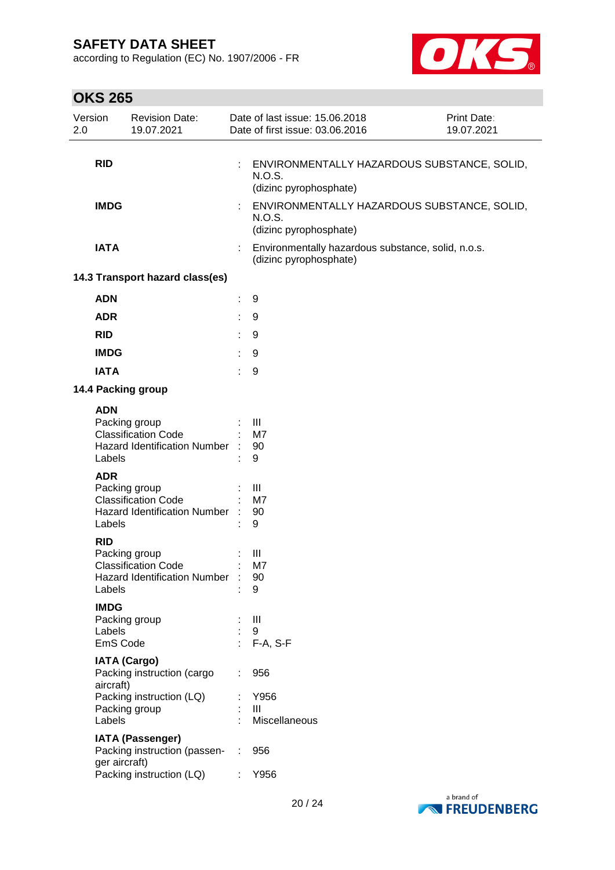according to Regulation (EC) No. 1907/2006 - FR



| Version<br>2.0 |                                   | <b>Revision Date:</b><br>19.07.2021                                                |   | Date of last issue: 15.06.2018<br>Print Date:<br>Date of first issue: 03.06.2016<br>19.07.2021 |  |
|----------------|-----------------------------------|------------------------------------------------------------------------------------|---|------------------------------------------------------------------------------------------------|--|
|                | <b>RID</b>                        |                                                                                    |   | ENVIRONMENTALLY HAZARDOUS SUBSTANCE, SOLID,<br>N.O.S.<br>(dizinc pyrophosphate)                |  |
|                | <b>IMDG</b>                       |                                                                                    |   | ENVIRONMENTALLY HAZARDOUS SUBSTANCE, SOLID,<br>N.O.S.<br>(dizinc pyrophosphate)                |  |
|                | <b>IATA</b>                       |                                                                                    |   | Environmentally hazardous substance, solid, n.o.s.<br>(dizinc pyrophosphate)                   |  |
|                |                                   | 14.3 Transport hazard class(es)                                                    |   |                                                                                                |  |
|                | <b>ADN</b>                        |                                                                                    | ÷ | 9                                                                                              |  |
|                | <b>ADR</b>                        |                                                                                    | ÷ | 9                                                                                              |  |
|                | <b>RID</b>                        |                                                                                    |   | 9                                                                                              |  |
|                | <b>IMDG</b>                       |                                                                                    |   | 9                                                                                              |  |
|                | <b>IATA</b>                       |                                                                                    |   | 9                                                                                              |  |
|                |                                   | 14.4 Packing group                                                                 |   |                                                                                                |  |
|                | <b>ADN</b><br>Labels              | Packing group<br><b>Classification Code</b><br><b>Hazard Identification Number</b> |   | Ш<br>M7<br>90<br>9                                                                             |  |
|                | <b>ADR</b><br>Labels              | Packing group<br><b>Classification Code</b><br><b>Hazard Identification Number</b> |   | $\mathbf{III}$<br>M7<br>90<br>9                                                                |  |
|                | <b>RID</b><br>Labels              | Packing group<br><b>Classification Code</b><br>Hazard Identification Number : 90   |   | Ш<br>M7<br>9                                                                                   |  |
|                | <b>IMDG</b><br>Labels<br>EmS Code | Packing group                                                                      |   | $\mathbf{III}$<br>9<br>: F-A, S-F                                                              |  |
|                | <b>IATA (Cargo)</b><br>aircraft)  | Packing instruction (cargo                                                         |   | 956                                                                                            |  |
|                | Labels                            | Packing instruction (LQ)<br>Packing group                                          |   | Y956<br>Ш<br>Miscellaneous                                                                     |  |
|                | ger aircraft)                     | <b>IATA (Passenger)</b><br>Packing instruction (passen- :                          |   | 956                                                                                            |  |
|                |                                   | Packing instruction (LQ)                                                           |   | Y956                                                                                           |  |

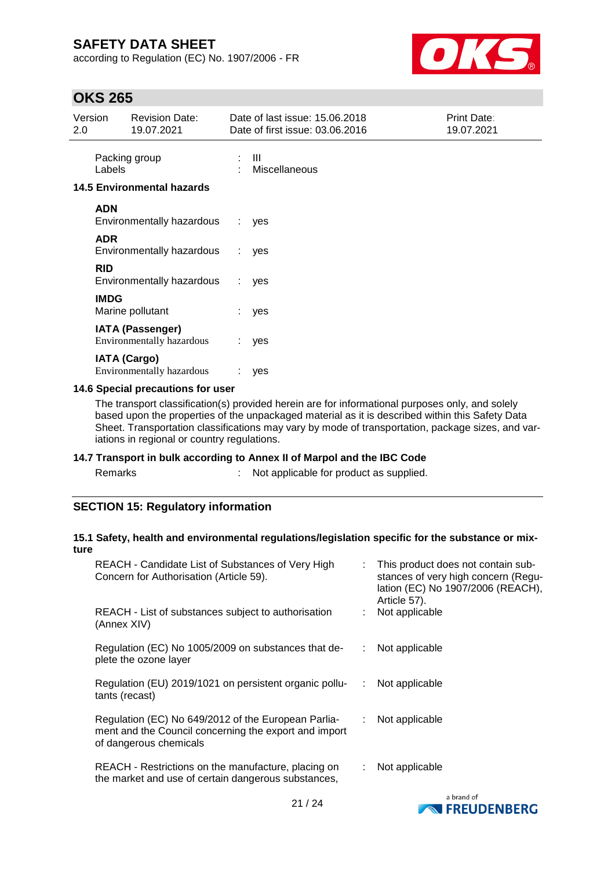according to Regulation (EC) No. 1907/2006 - FR



## **OKS 265**

| Version<br>2.0 |                     | <b>Revision Date:</b><br>19.07.2021                         |    | Date of last issue: 15.06.2018<br>Date of first issue: 03.06.2016 | <b>Print Date:</b><br>19.07.2021 |
|----------------|---------------------|-------------------------------------------------------------|----|-------------------------------------------------------------------|----------------------------------|
|                | Labels              | Packing group                                               |    | -III<br>Miscellaneous                                             |                                  |
|                |                     | <b>14.5 Environmental hazards</b>                           |    |                                                                   |                                  |
|                | <b>ADN</b>          | Environmentally hazardous                                   | ÷. | yes                                                               |                                  |
|                | <b>ADR</b>          | Environmentally hazardous                                   | t. | yes                                                               |                                  |
|                | <b>RID</b>          | Environmentally hazardous                                   | t. | yes                                                               |                                  |
|                | <b>IMDG</b>         | Marine pollutant                                            |    | yes                                                               |                                  |
|                |                     | <b>IATA (Passenger)</b><br><b>Environmentally hazardous</b> | ÷. | yes                                                               |                                  |
|                | <b>IATA (Cargo)</b> | <b>Environmentally hazardous</b>                            |    | yes                                                               |                                  |

## **14.6 Special precautions for user**

The transport classification(s) provided herein are for informational purposes only, and solely based upon the properties of the unpackaged material as it is described within this Safety Data Sheet. Transportation classifications may vary by mode of transportation, package sizes, and variations in regional or country regulations.

#### **14.7 Transport in bulk according to Annex II of Marpol and the IBC Code**

s and  $\mathbb{R}^2$  : Not applicable for product as supplied.

## **SECTION 15: Regulatory information**

#### **15.1 Safety, health and environmental regulations/legislation specific for the substance or mixture**

| REACH - Candidate List of Substances of Very High<br>Concern for Authorisation (Article 59).                                           |    | : This product does not contain sub-<br>stances of very high concern (Regu-<br>lation (EC) No 1907/2006 (REACH),<br>Article 57). |
|----------------------------------------------------------------------------------------------------------------------------------------|----|----------------------------------------------------------------------------------------------------------------------------------|
| REACH - List of substances subject to authorisation<br>(Annex XIV)                                                                     |    | Not applicable                                                                                                                   |
| Regulation (EC) No 1005/2009 on substances that de-<br>plete the ozone layer                                                           | ÷  | Not applicable                                                                                                                   |
| Regulation (EU) 2019/1021 on persistent organic pollu-<br>tants (recast)                                                               | ÷  | Not applicable                                                                                                                   |
| Regulation (EC) No 649/2012 of the European Parlia-<br>ment and the Council concerning the export and import<br>of dangerous chemicals | ÷. | Not applicable                                                                                                                   |
| REACH - Restrictions on the manufacture, placing on<br>the market and use of certain dangerous substances,                             |    | Not applicable                                                                                                                   |
|                                                                                                                                        |    | a hrand of                                                                                                                       |

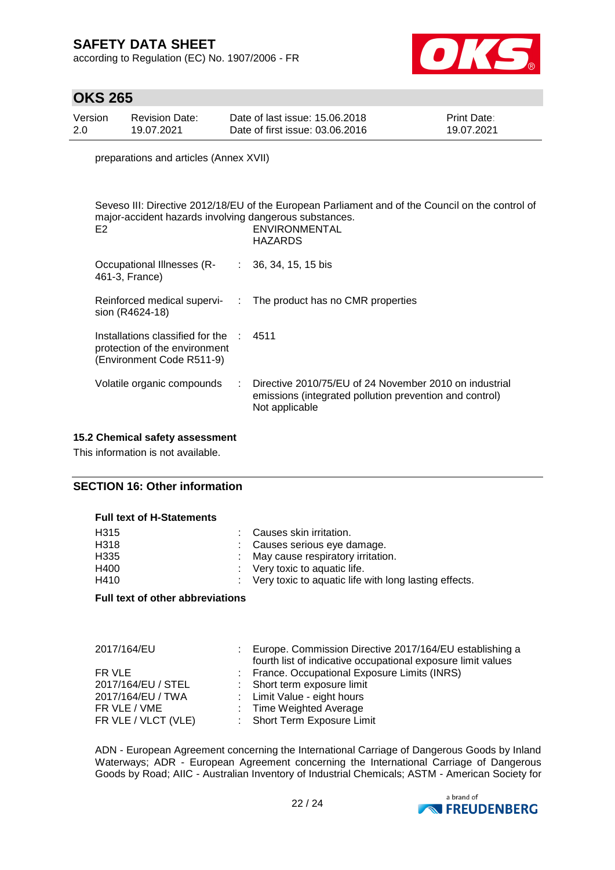according to Regulation (EC) No. 1907/2006 - FR



## **OKS 265**

| Version | Revision Date: | Date of last issue: 15,06,2018  | <b>Print Date:</b> |
|---------|----------------|---------------------------------|--------------------|
| 2.0     | 19.07.2021     | Date of first issue: 03.06.2016 | 19.07.2021         |

preparations and articles (Annex XVII)

| major-accident hazards involving dangerous substances.<br>E <sub>2</sub>                                         | Seveso III: Directive 2012/18/EU of the European Parliament and of the Council on the control of<br><b>ENVIRONMENTAL</b><br><b>HAZARDS</b> |
|------------------------------------------------------------------------------------------------------------------|--------------------------------------------------------------------------------------------------------------------------------------------|
| Occupational Illnesses (R- : 36, 34, 15, 15 bis<br>461-3, France)                                                |                                                                                                                                            |
| sion (R4624-18)                                                                                                  | Reinforced medical supervi- : The product has no CMR properties                                                                            |
| Installations classified for the $\therefore$ 4511<br>protection of the environment<br>(Environment Code R511-9) |                                                                                                                                            |
| Volatile organic compounds                                                                                       | : Directive 2010/75/EU of 24 November 2010 on industrial<br>emissions (integrated pollution prevention and control)<br>Not applicable      |

## **15.2 Chemical safety assessment**

This information is not available.

#### **SECTION 16: Other information**

#### **Full text of H-Statements**

| : Causes skin irritation.                               |
|---------------------------------------------------------|
| : Causes serious eye damage.                            |
| : May cause respiratory irritation.                     |
| $\therefore$ Very toxic to aquatic life.                |
| : Very toxic to aquatic life with long lasting effects. |
|                                                         |

#### **Full text of other abbreviations**

| 2017/164/EU         | Europe. Commission Directive 2017/164/EU establishing a<br>fourth list of indicative occupational exposure limit values |
|---------------------|-------------------------------------------------------------------------------------------------------------------------|
| FR VLE              | : France. Occupational Exposure Limits (INRS)                                                                           |
| 2017/164/EU / STEL  | : Short term exposure limit                                                                                             |
| 2017/164/EU / TWA   | : Limit Value - eight hours                                                                                             |
| FR VLE / VME        | : Time Weighted Average                                                                                                 |
| FR VLE / VLCT (VLE) | : Short Term Exposure Limit                                                                                             |

ADN - European Agreement concerning the International Carriage of Dangerous Goods by Inland Waterways; ADR - European Agreement concerning the International Carriage of Dangerous Goods by Road; AIIC - Australian Inventory of Industrial Chemicals; ASTM - American Society for

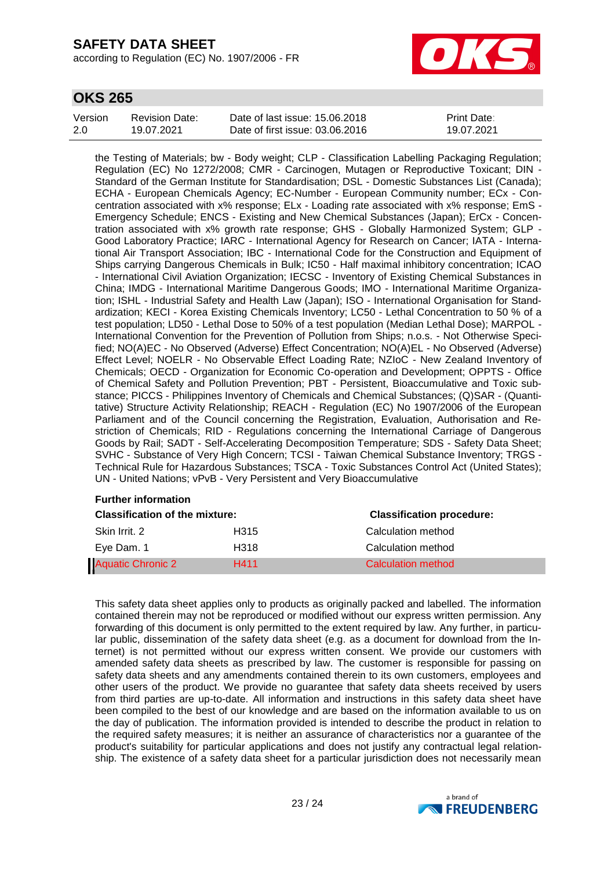according to Regulation (EC) No. 1907/2006 - FR



## **OKS 265**

| Version | Revision Date: | Date of last issue: 15.06.2018  | <b>Print Date:</b> |
|---------|----------------|---------------------------------|--------------------|
| 2.0     | 19.07.2021     | Date of first issue: 03.06.2016 | 19.07.2021         |

the Testing of Materials; bw - Body weight; CLP - Classification Labelling Packaging Regulation; Regulation (EC) No 1272/2008; CMR - Carcinogen, Mutagen or Reproductive Toxicant; DIN - Standard of the German Institute for Standardisation; DSL - Domestic Substances List (Canada); ECHA - European Chemicals Agency; EC-Number - European Community number; ECx - Concentration associated with x% response; ELx - Loading rate associated with x% response; EmS - Emergency Schedule; ENCS - Existing and New Chemical Substances (Japan); ErCx - Concentration associated with x% growth rate response; GHS - Globally Harmonized System; GLP - Good Laboratory Practice; IARC - International Agency for Research on Cancer; IATA - International Air Transport Association; IBC - International Code for the Construction and Equipment of Ships carrying Dangerous Chemicals in Bulk; IC50 - Half maximal inhibitory concentration; ICAO - International Civil Aviation Organization; IECSC - Inventory of Existing Chemical Substances in China; IMDG - International Maritime Dangerous Goods; IMO - International Maritime Organization; ISHL - Industrial Safety and Health Law (Japan); ISO - International Organisation for Standardization; KECI - Korea Existing Chemicals Inventory; LC50 - Lethal Concentration to 50 % of a test population; LD50 - Lethal Dose to 50% of a test population (Median Lethal Dose); MARPOL - International Convention for the Prevention of Pollution from Ships; n.o.s. - Not Otherwise Specified; NO(A)EC - No Observed (Adverse) Effect Concentration; NO(A)EL - No Observed (Adverse) Effect Level; NOELR - No Observable Effect Loading Rate; NZIoC - New Zealand Inventory of Chemicals; OECD - Organization for Economic Co-operation and Development; OPPTS - Office of Chemical Safety and Pollution Prevention; PBT - Persistent, Bioaccumulative and Toxic substance; PICCS - Philippines Inventory of Chemicals and Chemical Substances; (Q)SAR - (Quantitative) Structure Activity Relationship; REACH - Regulation (EC) No 1907/2006 of the European Parliament and of the Council concerning the Registration, Evaluation, Authorisation and Restriction of Chemicals; RID - Regulations concerning the International Carriage of Dangerous Goods by Rail; SADT - Self-Accelerating Decomposition Temperature; SDS - Safety Data Sheet; SVHC - Substance of Very High Concern; TCSI - Taiwan Chemical Substance Inventory; TRGS - Technical Rule for Hazardous Substances; TSCA - Toxic Substances Control Act (United States); UN - United Nations; vPvB - Very Persistent and Very Bioaccumulative

#### **Further information**

| <b>Classification of the mixture:</b> |      | <b>Classification procedure:</b> |  |
|---------------------------------------|------|----------------------------------|--|
| Skin Irrit, 2                         | H315 | Calculation method               |  |
| Eve Dam. 1                            | H318 | Calculation method               |  |
| <b>Aquatic Chronic 2</b>              | H411 | Calculation method               |  |

This safety data sheet applies only to products as originally packed and labelled. The information contained therein may not be reproduced or modified without our express written permission. Any forwarding of this document is only permitted to the extent required by law. Any further, in particular public, dissemination of the safety data sheet (e.g. as a document for download from the Internet) is not permitted without our express written consent. We provide our customers with amended safety data sheets as prescribed by law. The customer is responsible for passing on safety data sheets and any amendments contained therein to its own customers, employees and other users of the product. We provide no guarantee that safety data sheets received by users from third parties are up-to-date. All information and instructions in this safety data sheet have been compiled to the best of our knowledge and are based on the information available to us on the day of publication. The information provided is intended to describe the product in relation to the required safety measures; it is neither an assurance of characteristics nor a guarantee of the product's suitability for particular applications and does not justify any contractual legal relationship. The existence of a safety data sheet for a particular jurisdiction does not necessarily mean